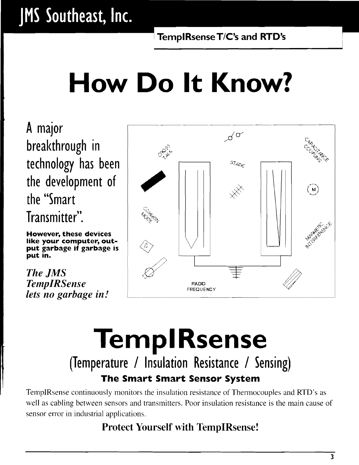# **How Do It Know?**

**Amajor breakthrough in technology has been the development of the "Smart Transmitter".** 

**However, these devices like your computer, out**put garbage if garbage is **put in.** 

**The JMS** *TempIRSense lets no garbage in!* 



## **TemplRsense (Temperature / Insulation Resistance / Sensing) The Smart Smart Sensor System**

TempIRsense continuously monitors the insulation resistance of Thermocouples and RTD's as well as cabling between sensors and transmitters. Poor insulation resistance is the main cause of sensor error in industrial applications.

## **Protect Yourself with TempIRsense!**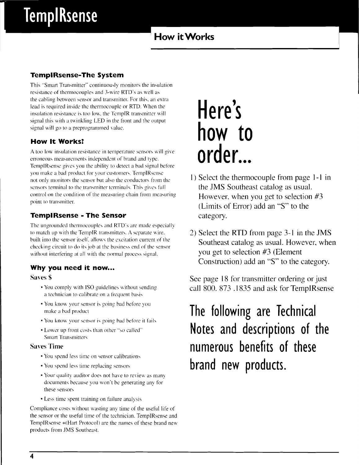#### **TemplRsense-The System**

This "Smart Transmitter" continuously monitors the insulation resistance of thermocouples and 3-wire RTD"s as well as the cabling between sensor and transmitter. For this, an extra lead is required inside the thermocouple or RTD. When the insulation resistance is too low. the TempIR transmitter will signal this with a twinkling LED in the front and the output signal will go to a prcprogrammed value.

#### **How It Works?**

A too low insulation resistance in temperature sensors wiIl give erroneous measurements independent of brand and type. Templkscnsc gives you the ability to detect a bad signal before you make a bad product for your customers. TempIRsense not only monitors the sensor hut also the conductors from the sensors terminal to the transmitter terminals. This gives full control on the condition of the measuring chain from measuring point to transmitter.

#### **TempiRsense - The Sensor**

The ungrounded thermocouples and RTD"s are made especially to match up with the TempIR transmitters. A separate wire, built into the sensor itself. allows the excitation current of the checking circuit to do its job at the business end of the sensor without interfering at all with the normal process signal.

#### **Why you need it now...**

Saws \$

- You comply with ISO guidelines without sending a technician to calibrate on a frequent basis
- You know your sensor is going had before you make a had product
- You know your sensor is going had before it fails
- Lower up front costs than other "so called" Smart Transmitters

#### Saws **Time**

- You spend less time on sensor calibrations
- You spend less time replacing sensors
- Your quality auditor does not have to review as many documents because you won't be generating any for these sensors
- Less time spent training on failure analysis

Compliance costs without wasting any time of the useful life of the sensor or the useful time of the technician. TempIRsense and TempIRsense +(Hart Protocol) are the names of these brand new products from JMS Southeast.

# **Here's how to order...**

- 1) Select the thermocouple from page 1-1 in the JMS Southeast catalog as usual. However, when you get to selection #3 (Limits of Error) add an "S" to the category.
- 2) Select the **RTD** from page 3-1 **in** the JMS Southeast catalog as usual. However, when you get to selection #3 (Element Construction) add an "S" to the category.

See page 18 for transmitter ordering or just call 800. 873 .1835 and ask for TempIRsense

**The following are Technical Notes and descriptions of the numerous benefits of these brand new products.**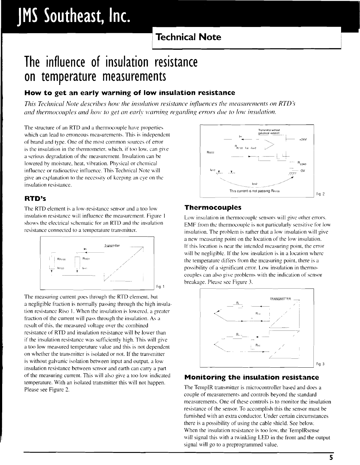## **The influence of insulation resistance on temperature measurements**

#### **How to get an early warning of low insulation resistance**

*This Technical Note describes how the insulation resistance influences the measurements on RTD* :\' *and thermocouples and how to get an early warning regarding errors due to low insulation.* 

The structure of an RTD and a thermocouple have properties which can lead to erroneous measurements. This is independent of brand and type, One of the most common sources of error is the insulation in the thermometer. which, if too low, can give a serious degradation of the measurement. Insulation can be lowered by moisture, heat. vibration, Physical or chemical influence or radioactive influence, This Technical Note will give an explanation to the necessity of keeping an eye on the insulation resistance.

#### **RTD's**

The RTD element is a low-resistance sensor and a too low insulation resistance will influence the measurement. Figure I shows the electrical schematic for an RTD and the insulation resistance connected to a temperature transmitter.



The measuring current goes through the RTD element. but a negligible fraction is normally passing through the high insulation resistance Riso I. When the insulation is lowered. a greater fraction of the current will pass through the insulation. As a result of this. the measured voltage over the combined resistance of RTD and insulation resistance will be lower than if the insulation resistance was sufficiently high. This will give a too low measured temperature value and this is not dependent on whether the transmitter is isolated or not. If the transmitter is without galvanic isolation between input and output. a low insulation resistance between sensor and earth can carry a part of the measuring current. This will also give a too low indicated temperature. With an isolated transmitter this will not happen. Please see Figure 2.



**1 \_** 

#### **Thermocouples**

Low insulation in thermocouple sensors will give other errors. EMF from the thermocouple is not particularly sensitive for low insulation. The problem is rather that a low insulation will give a new measuring point on the location of the low insulation. If this location is near the intended measuring point, the error will be negligible. If the low insulation is in a location where the temperature differs from the measuring point. there is a possibility of a significant error. Low insulation in thermocouples can also give problems with the indication of sensor breakage. Please see Figure 3.



#### **Monitoring the insulation resistance**

The TempIR transmitter is microcontroller based and does a couple of measurements and controls beyond the standard measurements. One of these controls is to monitor the insulation resistance of the sensor. To accomplish this the sensor must be furnished with an extra conductor. Under certain circumstances there is a possibility of using the cable shield. See below. When the insulation resistance is too low, the TemplRsense will signal this with a twinkling LED in the front and the output signal will go to a preprogrammed value.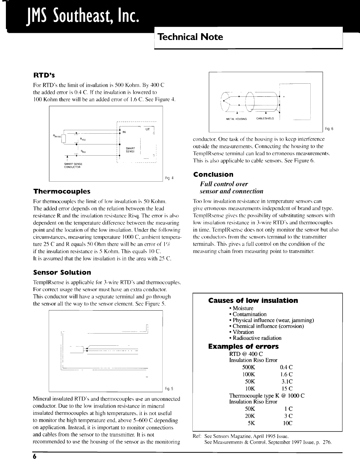# **IMS Southeast, Inc.**

## **Technical Note**

#### **RTD's**

For RTD's the limit of insulation is 500 Kohm. By 400 C the added error is 0.4 C. If the insulation is lowered to 100 Kohm there will be an added error of 1.6C. See Figure 4.



#### **Thermocouples**

For thermocouples the limit of low insulation is 50 Kohm. The added error depends on the relation between the lead resistance R and the insulation resistance Risq. The error is also dependent on the temperature difference between the measuring point and the location of the low insulation. Under the following circumstances, measuring temperature 1000C. ambient temperature 25 C and R equals 50 Ohm there will be an error of 1% if the insulation resistance is 5 Kohm. This equals 10 C. It is assumed that the low insulation is in the area with 25 C.

#### **Sensor Solution**

TemplRsense is applicable for 3-wire RTD's and thermocouples. For correct usage the sensor must have an extra conductor. This conductor will have a separate terminal and go through the sensor all the way to the sensor element. See Figure 5.



Mineral insulated RTD's and thermocouples use an unconnected conductor. Due to the low insulation resistance in mineral insulated thermocouples at high temperatures. it is not useful to monitor the high temperature end, above  $5-600$  C depending on application. Instead. it is important to monitor connections and cables from the sensor to the transmitter. It is not recommended to use the housing of the sensor as the monitoring



conductor. One task of the housing is to keep interference outside the measurements. Connecting the housing to the TemplRsense terminal can lead to erroneous measurements. This is also applicable to cable sensors. See Figure 6.

#### **Conclusion**

#### *Full control over sensor and connection*

Too low insulation resistance in temperature sensors can give erroneous measurements independent of brand and type. TemplRsense gives the possibility of substituting sensors with low insulation resistance in 3-wire RTD's and thermocouples in time. TemplRsense does not only monitor the sensor but also the conductors from the sensors terminal to the transmitter terminals, This gives a full control on the condition of the measuring chain from measuring point to transmitter.



Ref: See Sensors Magazine. April 1995 Issue. See Measurements & Control. September 1997 Issue, p. 276.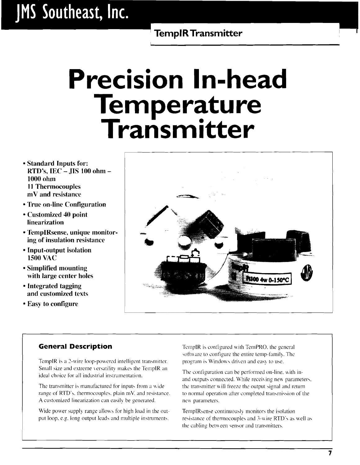# **Precision In-head Temperature Transmitter**

- **Standard Inputs for: RTD's, IEC - JIS 100 ohm 1000 ohm II Thermocouples**  m**V and resistance**
- **True on-line Configuration**
- **Customized 40 point linearization**
- **TemplRsense, unique monitoring of insulation resistance**
- **Input-output isolation 1500 VAC**
- **Simplified mounting with large center holes**
- **Integrated tagging and customized texts**
- **Easy to configure**



#### **General Description**

TempIR is a 2-wire loop-powered intelligent transmitter. Small size and extreme versatility makes the TempIR an ideal choice for all industrial instrumentation.

The transmitter is manufactured for inputs from a wide range of RTD's, thermocouples, plain mV, and resistance. A customized linearization can easily be generated.

Wide power supply range allows for high load in the output loop. e.g, long output leads and multiple instruments,

TempIR is configured with TemPRO, the general software to configure the entire temp-family. The program is Windows driven and easy to use.

The configuration can be performed on-line. with inand outputs connected. While receiving new parameters, the transmitter will freeze the output signal and return to normal operation after completed transmission of the new parameters.

Templksense continuously monitors the isolation resistance of thermocouples and 3-wire RTD's as well as the cabling between sensor and transmitters,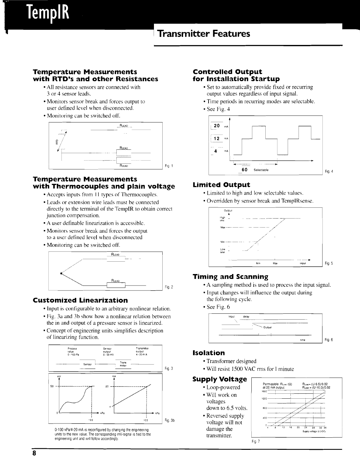## TemplR

## **Transmitter Features**

#### **Temperature Measurements with RTD's and other Resistances**

- All resistance sensors are connected with 3 or 4 sensor leads.
- Monitors sensor break and forces output to user defined level when disconnected.
- Monitoring can be switched off.



#### **Temperature Measurements with Thermocouples and plain voltage**

- Accepts inputs from II types of Thermocouples.
- Leads or extension wire leads must be connected directly to the terminal of the TempIR to obtain correct junction compensation.
- A user definable linearization is accessible.
- Monitors sensor break and forces the output to a user defined level when disconnected
- Monitoring can be switched off.



#### **Customized Linearization**

- Input is configurable to an arbitrary nonlinear relation.
- Fig. 3a and 3b show how a nonlinear relation between the in and output of a pressure sensor is linearized.
- Concept of engineering units simplifies description of linearizing function.



0-100 kPa/4-20 mA is reconfigured by changing the engineering units to the new value. The corresponding mV-signal is tied to the engineering unit and will follow accordingly.

#### **Controlled Output for Installation Startup**

- Set to automatically provide fixed or recurring output values regardless of input signal.
- Time periods in recurring modes are selectable.
- Sec Fig. 4



#### **Limited Output**

- Limited to high and low selectable values.
- Overridden by sensor break and TcmplRsense.



#### **Timing and Scanning**

- A sampling method is used to process the input signal.
- Input changes will influence the output during the following cycle.
- See Fig. 6



#### **Isolation**

- Transformer designed
- Will resist 1500 VAC rms for I minute

- Loop-powered  $\bullet$  Will work on  $\begin{bmatrix} 1 & 1 & 0 & 0 \\ 0 & 1 & 0 & 0 \\ 0 & 1 & 0 & 0 \end{bmatrix}$
- voltages down to 6.5 volts. • Reversed supply
- transmitter.

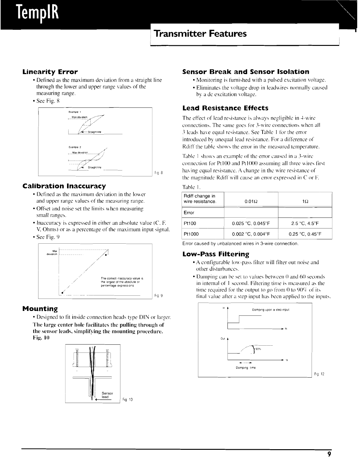# TemplR

! I

#### **Linearity Error**

- Defined as the maximum deviation from a straight line through the lower and upper range values of the measuring range.
- See Fig. R



#### **Calibration Inaccuracy**

- Defined as the maximum deviation in the lower and upper range values of the measuring range.
- Offset and noise set the limits when measuring small ranges.
- $\bullet$  Inaccuracy is expressed in either an absolute value (C, F. V. Ohms) or as a percentage of the maximum input signal.
- See Fig. 9



#### **Mounting**

• Designed to fit inside connection heads type DIN or larger. The large center hole facilitates the pulling through of the sensor leads, simplifying the mounting procedure. Fig. 10



#### **Sensor Break and Sensor Isolation**

- Monitoring is furnished with a pulsed excitation voltage.
- Eliminates the voltage drop in lcadwires normally caused by a de excitation voltage.

#### **Lead Resistance Effects**

The effect of lead resistance is always negligible in 4-wire connections. The same goes for 3-wire connections when all 3 leads have equal resistance. See Table 1 for the error introduced by unequal lead resistance. For a difference of Rdiff the table shows the error in the measured temperature.

Table I shows an example of the error caused in a 3-wire connection for Pt I00 and Pt1000 assuming all three wires first haxing equal resistance. A change in the wire resistance of the magnitude Rdiff will cause an error expressed in C or F.

| Fable - |  |
|---------|--|
|---------|--|

| Rdiff change in<br>wire resistance. | $0.01\Omega$           | 1Ω                    |
|-------------------------------------|------------------------|-----------------------|
| Error                               |                        |                       |
| Pt100                               | 0.025 °C, 0.045 °F     | $2.5 °C$ , $4.5 °F$   |
| Pt1000                              | $0.002$ °C, $0.004$ °F | $0.25 °C$ , $0.45 °F$ |

Error caused by unbalanced wires in 3-wire connection.

#### **Low-Pass Filtering**

- A configurable low-pass filter will filter out noise and other disturbances.
- Damping can be set to values between 0 and 60 seconds in internal of I second. Filtering time is measured as the time required for the output to go from  $0$  to  $90\%$  of its final value after a step input has been applied to the inputs.

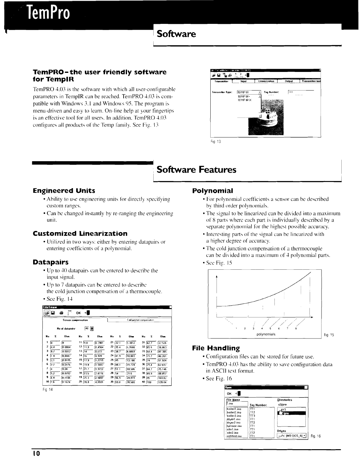#### TemPRO-the user friendly software for TempIR

TemPRO 4.03 is the software with which all user-configurable parameters in TempIR can be reached. TemPRO 4.03 is compatible with Windows 3.1 and Windows 95. The program is menu-driven and easy to learn. On-line help at your fingertips is an effective tool for all users. In addition, TemPRO 4.03 configures all products of the Temp family. See Fig. 13



 $F_{10}$  13

#### **Software Features**

#### **Engineered Units**

**TemPro** 

- Ability to use engineering units for directly specifying custom ranges.
- Can be changed instantly by re-ranging the engineering unit.

#### **Customized Linearization**

• Utilized in two ways: either by entering datapairs or entering coefficients of a polynomial.

#### **Datapairs**

- Up to 40 datapairs can be entered to describe the input signal.
- Up to 7 datapairs can be entered to describe the cold junction compensation of a thermocouple.
- · See Fig. 14

| <b>CONTRACTOR</b><br>Ì | 8                   | SOLF<br>ê                  | ок                 |                                |        |               |                      |                                   |                      |      |                 |
|------------------------|---------------------|----------------------------|--------------------|--------------------------------|--------|---------------|----------------------|-----------------------------------|----------------------|------|-----------------|
|                        |                     | <b>Sensor compensation</b> |                    |                                |        |               |                      | <b>Cold junction compensation</b> |                      |      |                 |
|                        |                     | No of datapairs:           |                    | $\boxed{40}$ $\boxed{\bullet}$ |        |               |                      |                                   |                      |      |                 |
| No                     | z                   | 0 <sub>hm</sub>            | No                 | z                              | Ohm    | No            | z                    | <b>Ghe</b>                        | No                   | z    | 0 <sub>bm</sub> |
| 1                      | lo                  | lo                         | 11                 | 9.8                            | 0 2901 |               | $21 \overline{32.1}$ | 5 3812                            | 31                   | 62,7 | 32,536          |
| 2                      | 10.4                | 0 0004                     |                    | $12 \overline{11.9}$           | 0.4564 |               | $22 \sqrt{354}$      | 8826.3                            | $32$ 656             |      | 36.863          |
| 3                      | 0.7                 | 0.0012                     | $13\sqrt{14}$      |                                | 0.672  |               | $23$ 38.7            | 8,8069                            | 33 68.4              |      | 41 385          |
| 4                      | 14                  | 0.0047                     | $14 \overline{16}$ |                                | 0.928  |               | $24 \overline{1,9}$  | 10,883                            | $34 \overline{71.2}$ |      | 46.261          |
| 5                      | 2.1                 | 0.0105                     |                    | $15 \sqrt{17.9}$               | 1.2215 | $25\sqrt{45}$ |                      | 13,180                            | $35 \overline{74}$   |      | 51,504          |
| 6                      | 12.7                | 0.0176                     |                    | $16 \overline{198}$            | 1.5682 |               | $26 \overline{48,1}$ | 15.774                            | 36                   | 79.4 | 62,697          |
| 7                      | l4                  | 0.04                       |                    | $17\sqrt{21.7}$                | 1.9722 |               | $27\sqrt{511}$       | 18,586                            | 37                   | 84.7 | 75.146          |
| 8                      | 15.2                | 00702                      |                    | $18^{235}$                     | 2.4116 | 28            | 54                   | 21.6                              | 38                   | 89.9 | 88,857          |
| 9                      |                     | 0.1106                     |                    | $19 \overline{25.3}$           | 2.9097 | 29            | 56.9                 | 24,919                            | 39 95                |      | 103,82          |
|                        | $10 \overline{7.6}$ | 0 1624                     |                    | $20 \overline{28.8}$           | 4.0591 | 30            | 59.8                 | 28,560                            | 40                   | 100  | 120 04          |

Fig. 14

#### **Polynomial**

- For polynomial coefficients a sensor can be described by third order polynomials.
- The signal to be linearized can be divided into a maximum of 8 parts where each part is individually described by a separate polynomial for the highest possible accuracy.
- Interesting parts of the signal can be linearized with a higher degree of accuracy.
- The cold junction compensation of a thermocouple can be divided into a maximum of 4 polynomial parts.
- · See Fig. 15



#### **File Handling**

- Configuration files can be stored for future use.
- TemPRO 4.03 has the ability to save configuration data in ASCII text format.
- · See Fig. 16

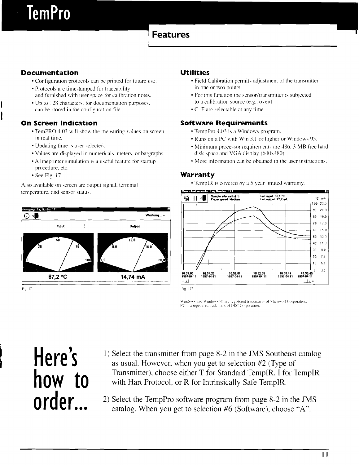#### **Documentation**

- Configuration protocols can be printed for future use.
- Protocols are timestamped for traceability and furnished with user space for calibration notes.
- Up to 128 characters, for documentation purposes, can be stored in the configuration file.

#### **On Screen Indication**

- TemPRO 4.03 will show the measuring values on screen in real time.
- Updating time is user selected.
- Values are displayed in numericals, meters, or bargraphs.
- A lineprinter simulation is a useful feature for startup procedure, etc.
- See Fig. 17

Also available on screen are output signal, terminal temperature, and sensor status.



Fig. 17

#### **Utilities**

- Field Calibration permits adjustment of the transmitter in one or two points.
- For this function the sensor/transmitter is subjected to a calibration source (e.g., oven).
- C. F are selectable at any time.

#### **Software Requirements**

- TempPro 4.03 is a Windows program.
- Runs on a PC with Win 3.1 or higher or Windows 95.
- Minimum processor requirements are 486, 3 MB free hard disk space and VGA display  $(640x480)$ .
- More information can be obtained in the user instructions.

#### Warranty

• TempIR is covered by a 5 year limited warranty.



Windows and Windows 95 are registered trademarks of Microsoft Corporation. PC is a registered trademark of IBM Corporation

Here's how to order...

- 1) Select the transmitter from page 8-2 in the JMS Southeast catalog as usual. However, when you get to selection  $#2$  (Type of Transmitter), choose either T for Standard TempIR, I for TempIR with Hart Protocol, or R for Intrinsically Safe TempIR.
- 2) Select the TempPro software program from page 8-2 in the JMS catalog. When you get to selection #6 (Software), choose "A".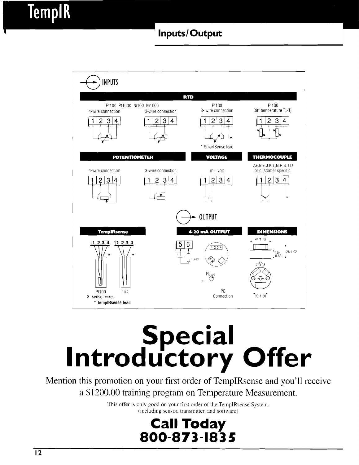lemplR

## **Inputs/Output**



# **Special<br>Introductory Offer**

Mention this promotion on your first order of TempIRsense and you'll receive a \$1200.00 training program on Temperature Measurement.

> This offer is only good on your first order of the TempIRsense System. (including sensor, transmitter, and software)

# **Call Today<br>800-873-1835**